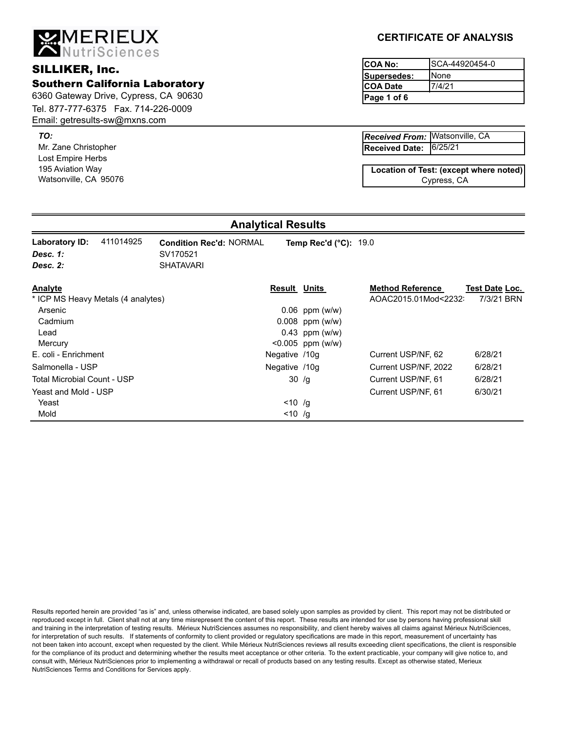Email: getresults-sw@mxns.com

**MERIEUX**<br>ANutriSciences

*TO:*

Mr. Zane Christopher Lost Empire Herbs 195 Aviation Way Watsonville, CA 95076

# **CERTIFICATE OF ANALYSIS**

**Page 1 of 6** SCA-44920454-0 None 7/4/21 **Supersedes: COA Date** SILLIKER, Inc. **SILLIKER**, Inc.

> 6/25/21 Watsonville, CA *Received From:* **Received Date:**

Cypress, CA **Location of Test: (except where noted)**

#### **Analytical Results**

| 411014925<br>Laboratory ID:<br>Desc. 1:<br>Desc. 2: | <b>Condition Rec'd: NORMAL</b><br>SV170521<br><b>SHATAVARI</b> | Temp Rec'd $(^{\circ}C)$ : 19.0 |                                                |                              |  |
|-----------------------------------------------------|----------------------------------------------------------------|---------------------------------|------------------------------------------------|------------------------------|--|
| Analyte<br>* ICP MS Heavy Metals (4 analytes)       | Result                                                         | Units                           | <b>Method Reference</b><br>AOAC2015.01Mod<2232 | Test Date Loc.<br>7/3/21 BRN |  |
| Arsenic                                             |                                                                | $0.06$ ppm (w/w)                |                                                |                              |  |
| Cadmium                                             |                                                                | $0.008$ ppm (w/w)               |                                                |                              |  |
| Lead                                                |                                                                | $0.43$ ppm (w/w)                |                                                |                              |  |
| Mercury                                             |                                                                | $< 0.005$ ppm (w/w)             |                                                |                              |  |
| E. coli - Enrichment                                |                                                                | Negative /10g                   | Current USP/NF, 62                             | 6/28/21                      |  |
| Salmonella - USP                                    |                                                                | Negative /10g                   | Current USP/NF, 2022                           | 6/28/21                      |  |
| <b>Total Microbial Count - USP</b>                  |                                                                | 30/g                            | Current USP/NF, 61                             | 6/28/21                      |  |
| Yeast and Mold - USP                                |                                                                |                                 | Current USP/NF, 61                             | 6/30/21                      |  |
| Yeast                                               |                                                                | $< 10$ /g                       |                                                |                              |  |
| Mold                                                |                                                                | $< 10$ /g                       |                                                |                              |  |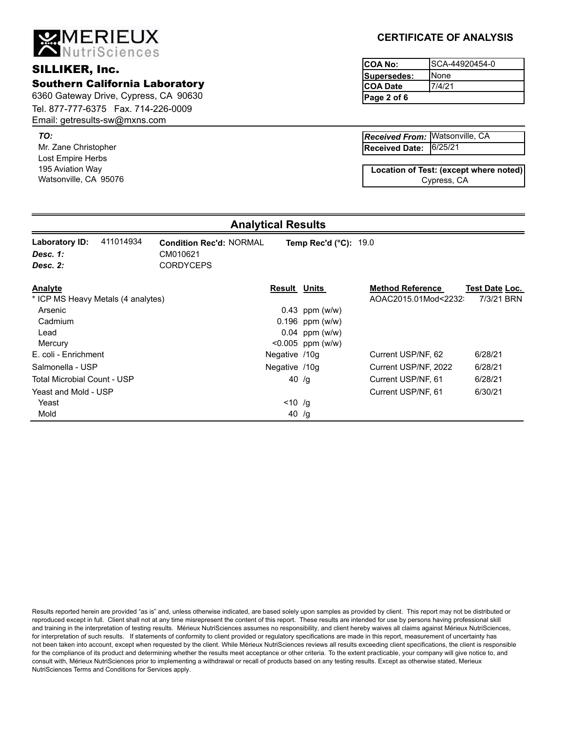Email: getresults-sw@mxns.com

**MERIEUX**<br>ANutriSciences

Mr. Zane Christopher *TO:* Lost Empire Herbs 195 Aviation Way Watsonville, CA 95076

### **CERTIFICATE OF ANALYSIS**

**Page 2 of 6** SCA-44920454-0 None 7/4/21 **Supersedes: COA Date** SILLIKER, Inc. **SILLIKER**, Inc.

> 6/25/21 Watsonville, CA *Received From:* **Received Date:**

Cypress, CA **Location of Test: (except where noted)**

#### **Analytical Results**

| 411014934<br>Laboratory ID:<br>Desc. 1:<br>Desc. 2: | <b>Condition Rec'd: NORMAL</b><br>CM010621<br><b>CORDYCEPS</b> | <b>Temp Rec'd (°C): 19.0</b> |                         |                |
|-----------------------------------------------------|----------------------------------------------------------------|------------------------------|-------------------------|----------------|
| Analyte                                             | Result                                                         | Units                        | <b>Method Reference</b> | Test Date Loc. |
| * ICP MS Heavy Metals (4 analytes)                  |                                                                |                              | AOAC2015.01Mod<2232     | 7/3/21 BRN     |
| Arsenic                                             |                                                                | $0.43$ ppm (w/w)             |                         |                |
| Cadmium                                             |                                                                | $0.196$ ppm (w/w)            |                         |                |
| Lead                                                |                                                                | $0.04$ ppm (w/w)             |                         |                |
| Mercury                                             |                                                                | $< 0.005$ ppm (w/w)          |                         |                |
| E. coli - Enrichment                                | Negative /10g                                                  |                              | Current USP/NF, 62      | 6/28/21        |
| Salmonella - USP                                    | Negative /10g                                                  |                              | Current USP/NF, 2022    | 6/28/21        |
| Total Microbial Count - USP                         |                                                                | 40 $/g$                      | Current USP/NF, 61      | 6/28/21        |
| Yeast and Mold - USP                                |                                                                |                              | Current USP/NF, 61      | 6/30/21        |
| Yeast                                               |                                                                | $< 10$ /g                    |                         |                |
| Mold                                                |                                                                | 40 /g                        |                         |                |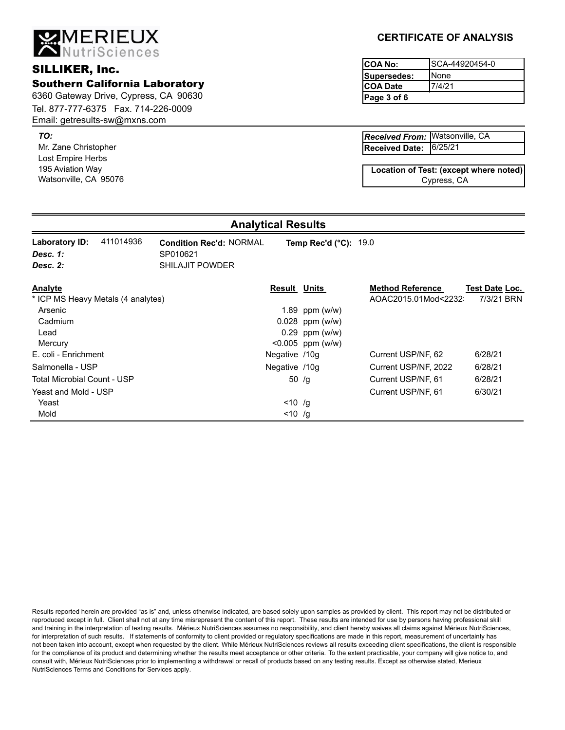Email: getresults-sw@mxns.com

**MERIEUX**<br>ANutriSciences

Mr. Zane Christopher *TO:* Lost Empire Herbs 195 Aviation Way Watsonville, CA 95076

# **CERTIFICATE OF ANALYSIS**

**Page 3 of 6** SCA-44920454-0 None 7/4/21 **Supersedes: COA Date** SILLIKER, Inc. **SILLIKER**, Inc.

> 6/25/21 Watsonville, CA *Received From:* **Received Date:**

Cypress, CA **Location of Test: (except where noted)**

# **Analytical Results**

| 411014936<br>Laboratory ID:<br>Desc. 1:<br>Desc. 2: | <b>Condition Rec'd: NORMAL</b><br>SP010621<br><b>SHILAJIT POWDER</b> | Temp Rec'd $(^{\circ}C)$ : 19.0 |                         |                       |
|-----------------------------------------------------|----------------------------------------------------------------------|---------------------------------|-------------------------|-----------------------|
| Analyte                                             | <b>Result Units</b>                                                  |                                 | <b>Method Reference</b> | <b>Test Date Loc.</b> |
| * ICP MS Heavy Metals (4 analytes)                  |                                                                      |                                 | AOAC2015.01Mod<2232     | 7/3/21 BRN            |
| Arsenic                                             |                                                                      | 1.89 ppm $(w/w)$                |                         |                       |
| Cadmium                                             |                                                                      | $0.028$ ppm (w/w)               |                         |                       |
| Lead                                                |                                                                      | $0.29$ ppm (w/w)                |                         |                       |
| Mercury                                             |                                                                      | $< 0.005$ ppm (w/w)             |                         |                       |
| E. coli - Enrichment                                | Negative /10g                                                        |                                 | Current USP/NF, 62      | 6/28/21               |
| Salmonella - USP                                    | Negative /10g                                                        |                                 | Current USP/NF, 2022    | 6/28/21               |
| Total Microbial Count - USP                         |                                                                      | 50 $/g$                         | Current USP/NF, 61      | 6/28/21               |
| Yeast and Mold - USP                                |                                                                      |                                 | Current USP/NF, 61      | 6/30/21               |
| Yeast                                               | $< 10$ /g                                                            |                                 |                         |                       |
| Mold                                                | $< 10$ /g                                                            |                                 |                         |                       |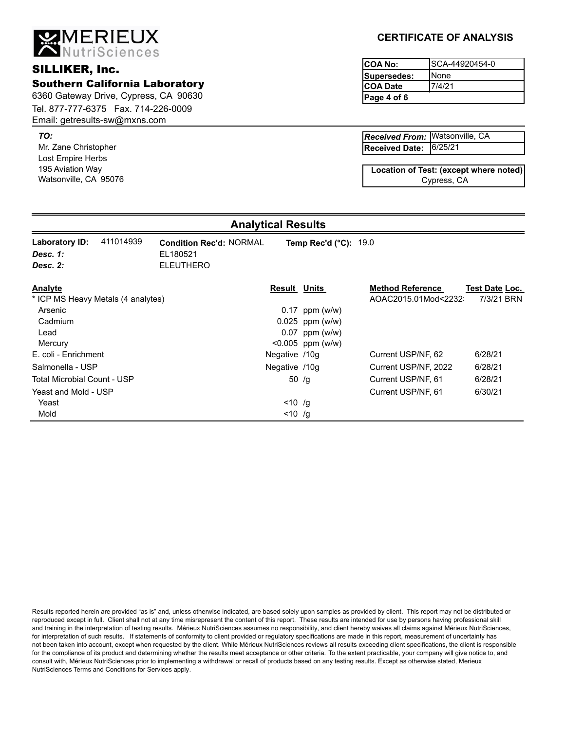Email: getresults-sw@mxns.com

**MERIEUX**<br>ANutriSciences

Mr. Zane Christopher *TO:* Lost Empire Herbs

195 Aviation Way Watsonville, CA 95076

# **CERTIFICATE OF ANALYSIS**

**Page 4 of 6** SCA-44920454-0 None 7/4/21 **Supersedes: COA Date** SILLIKER, Inc. **SILLIKER**, Inc.

> 6/25/21 Watsonville, CA *Received From:* **Received Date:**

Cypress, CA **Location of Test: (except where noted)**

#### **Analytical Results**

| 411014939<br>Laboratory ID:        | <b>Condition Rec'd: NORMAL</b> | Temp Rec'd $(^{\circ}C)$ : 19.0 |                         |                |
|------------------------------------|--------------------------------|---------------------------------|-------------------------|----------------|
| Desc. 1:                           | EL180521                       |                                 |                         |                |
| Desc. 2:                           | <b>ELEUTHERO</b>               |                                 |                         |                |
| Analyte                            |                                | <b>Result Units</b>             | <b>Method Reference</b> | Test Date Loc. |
| * ICP MS Heavy Metals (4 analytes) |                                |                                 | AOAC2015.01Mod<2232     | 7/3/21 BRN     |
| Arsenic                            |                                | $0.17$ ppm (w/w)                |                         |                |
| Cadmium                            |                                | $0.025$ ppm (w/w)               |                         |                |
| Lead                               |                                | $0.07$ ppm (w/w)                |                         |                |
| Mercury                            |                                | $< 0.005$ ppm (w/w)             |                         |                |
| E. coli - Enrichment               | Negative /10g                  |                                 | Current USP/NF, 62      | 6/28/21        |
| Salmonella - USP                   | Negative /10g                  |                                 | Current USP/NF, 2022    | 6/28/21        |
| Total Microbial Count - USP        |                                | 50 $/g$                         | Current USP/NF, 61      | 6/28/21        |
| Yeast and Mold - USP               |                                |                                 | Current USP/NF, 61      | 6/30/21        |
| Yeast                              |                                | $< 10$ /g                       |                         |                |
| Mold                               |                                | $< 10$ /g                       |                         |                |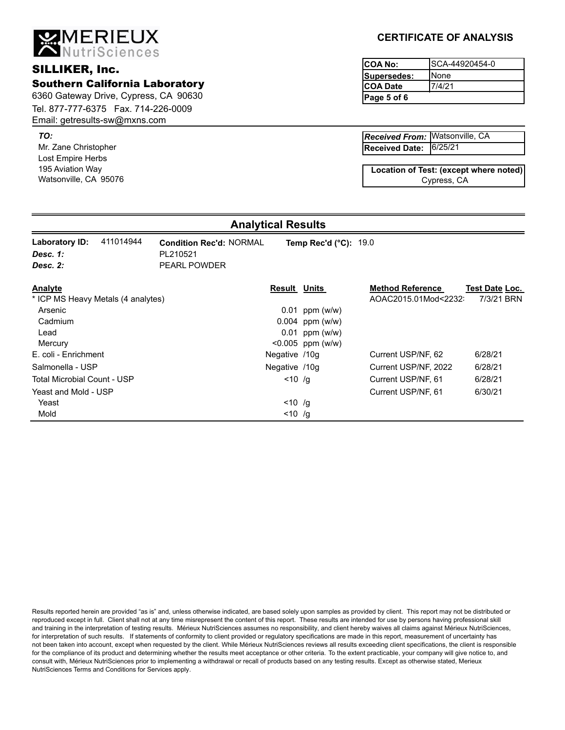Email: getresults-sw@mxns.com

**MERIEUX**<br>ANutriSciences

Mr. Zane Christopher *TO:* Lost Empire Herbs 195 Aviation Way Watsonville, CA 95076

# **CERTIFICATE OF ANALYSIS**

**Page 5 of 6** SCA-44920454-0 None 7/4/21 **Supersedes: COA Date** SILLIKER, Inc. **SILLIKER**, Inc.

> 6/25/21 Watsonville, CA *Received From:* **Received Date:**

Cypress, CA **Location of Test: (except where noted)**

# **Analytical Results**

| 411014944<br>Laboratory ID:<br>Desc. 1:<br>Desc. 2: | <b>Condition Rec'd: NORMAL</b><br>PL210521<br><b>PEARL POWDER</b> | Temp Rec'd $(^{\circ}C)$ : 19.0 |                         |                       |  |
|-----------------------------------------------------|-------------------------------------------------------------------|---------------------------------|-------------------------|-----------------------|--|
| Analyte                                             |                                                                   | <b>Result Units</b>             | <b>Method Reference</b> | <b>Test Date Loc.</b> |  |
| * ICP MS Heavy Metals (4 analytes)                  |                                                                   |                                 | AOAC2015.01Mod<2232     | 7/3/21 BRN            |  |
| Arsenic                                             |                                                                   | $0.01$ ppm (w/w)                |                         |                       |  |
| Cadmium                                             |                                                                   | $0.004$ ppm (w/w)               |                         |                       |  |
| Lead                                                |                                                                   | $0.01$ ppm (w/w)                |                         |                       |  |
| Mercury                                             |                                                                   | $< 0.005$ ppm (w/w)             |                         |                       |  |
| E. coli - Enrichment                                |                                                                   | Negative /10g                   | Current USP/NF, 62      | 6/28/21               |  |
| Salmonella - USP                                    |                                                                   | Negative /10g                   | Current USP/NF, 2022    | 6/28/21               |  |
| <b>Total Microbial Count - USP</b>                  |                                                                   | $< 10$ /g                       | Current USP/NF, 61      | 6/28/21               |  |
| Yeast and Mold - USP                                |                                                                   |                                 | Current USP/NF, 61      | 6/30/21               |  |
| Yeast                                               |                                                                   | $< 10$ /g                       |                         |                       |  |
| Mold                                                |                                                                   | $< 10$ /g                       |                         |                       |  |